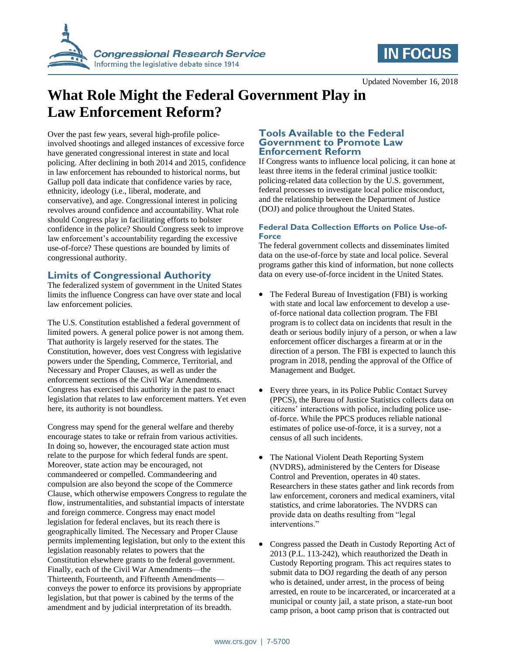



Updated November 16, 2018

# **What Role Might the Federal Government Play in Law Enforcement Reform?**

Over the past few years, several high-profile policeinvolved shootings and alleged instances of excessive force have generated congressional interest in state and local policing. After declining in both 2014 and 2015, confidence in law enforcement has rebounded to historical norms, but Gallup poll data indicate that confidence varies by race, ethnicity, ideology (i.e., liberal, moderate, and conservative), and age. Congressional interest in policing revolves around confidence and accountability. What role should Congress play in facilitating efforts to bolster confidence in the police? Should Congress seek to improve law enforcement's accountability regarding the excessive use-of-force? These questions are bounded by limits of congressional authority.

## **Limits of Congressional Authority**

The federalized system of government in the United States limits the influence Congress can have over state and local law enforcement policies.

The U.S. Constitution established a federal government of limited powers. A general police power is not among them. That authority is largely reserved for the states. The Constitution, however, does vest Congress with legislative powers under the Spending, Commerce, Territorial, and Necessary and Proper Clauses, as well as under the enforcement sections of the Civil War Amendments. Congress has exercised this authority in the past to enact legislation that relates to law enforcement matters. Yet even here, its authority is not boundless.

Congress may spend for the general welfare and thereby encourage states to take or refrain from various activities. In doing so, however, the encouraged state action must relate to the purpose for which federal funds are spent. Moreover, state action may be encouraged, not commandeered or compelled. Commandeering and compulsion are also beyond the scope of the Commerce Clause, which otherwise empowers Congress to regulate the flow, instrumentalities, and substantial impacts of interstate and foreign commerce. Congress may enact model legislation for federal enclaves, but its reach there is geographically limited. The Necessary and Proper Clause permits implementing legislation, but only to the extent this legislation reasonably relates to powers that the Constitution elsewhere grants to the federal government. Finally, each of the Civil War Amendments—the Thirteenth, Fourteenth, and Fifteenth Amendments conveys the power to enforce its provisions by appropriate legislation, but that power is cabined by the terms of the amendment and by judicial interpretation of its breadth.

#### **Tools Available to the Federal Government to Promote Law Enforcement Reform**

If Congress wants to influence local policing, it can hone at least three items in the federal criminal justice toolkit: policing-related data collection by the U.S. government, federal processes to investigate local police misconduct, and the relationship between the Department of Justice (DOJ) and police throughout the United States.

### **Federal Data Collection Efforts on Police Use-of-Force**

The federal government collects and disseminates limited data on the use-of-force by state and local police. Several programs gather this kind of information, but none collects data on every use-of-force incident in the United States.

- The Federal Bureau of Investigation (FBI) is working with state and local law enforcement to develop a useof-force national data collection program. The FBI program is to collect data on incidents that result in the death or serious bodily injury of a person, or when a law enforcement officer discharges a firearm at or in the direction of a person. The FBI is expected to launch this program in 2018, pending the approval of the Office of Management and Budget.
- Every three years, in its Police Public Contact Survey (PPCS), the Bureau of Justice Statistics collects data on citizens' interactions with police, including police useof-force. While the PPCS produces reliable national estimates of police use-of-force, it is a survey, not a census of all such incidents.
- The National Violent Death Reporting System (NVDRS), administered by the Centers for Disease Control and Prevention, operates in 40 states. Researchers in these states gather and link records from law enforcement, coroners and medical examiners, vital statistics, and crime laboratories. The NVDRS can provide data on deaths resulting from "legal interventions."
- Congress passed the Death in Custody Reporting Act of 2013 (P.L. 113-242), which reauthorized the Death in Custody Reporting program. This act requires states to submit data to DOJ regarding the death of any person who is detained, under arrest, in the process of being arrested, en route to be incarcerated, or incarcerated at a municipal or county jail, a state prison, a state-run boot camp prison, a boot camp prison that is contracted out